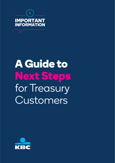

# **A Guide to Next Steps**  for Treasury **Customers**

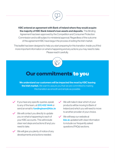

KBC entered an agreement with Bank of Ireland where they would acquire the majority of KBC Bank Ireland's loan assets and deposits. This Binding Agreement has been approved by the Competition and Consumer Protection Commission and is still subject to ministerial approval. Regardless of the outcome of this agreement KBC have begun the process of exiting the Irish market.

This leaflet has been designed to help you start preparing for this transition. Inside you'll find more important information on what is happening and any actions you may need to take. Please read it carefully.



## **Our commitments to you**

We understand our customers will be impacted the most by KBC leaving the **Irish market.** We want to assure you that we are committed to making this transition as smooth and simple as possible.

- $\checkmark$  If you have any specific queries, speak to any of the team, at (01) 432 1444 or send an email to **fundingteam@kbc.ie**
- $\vee$  We will contact you directly to update you on what is happening to each of your KBC accounts. This will include clear next steps and actions (if any) you need to take.
- $\vee$  We will give you plenty of notice of any developments and actions needed.
- $\vee$  We will make it clear which of your products will be moving to Bank of Ireland and which you will need to move to another provider of your choice.
- $\vee$  We will keep our website at kbc.ie updated with clear information to include our frequently asked questions (FAQs) sections.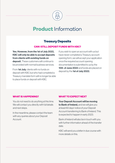

# **Product** Information

## **Treasury Deposits**

#### **CAN I STILL DEPOSIT FUNDS WITH KBC?**

Yes. However, from the 1st of July 2022, KBC will only be able to accept deposits from clients with existing funds on deposit. These customers will continue to be provided with normal business services.

From 1st July, clients with no funds on deposit with KBC but who had completed a Treasury mandate form will no longer be able to place funds on deposit with KBC.

If you wish to open an account with us but have never completed a Treasury account opening form, we will accept your application once the required account opening documentation is submitted to us by the 15th of June 2022 and funds are placed on deposit by the 1st of July 2022.

#### **WHAT IS HAPPENING?**

You do not need to do anything at this time. We will contact you directly with full details and next steps.

In the meantime, please contact the team with any queries about your Deposit Account.

#### **WHAT TO EXPECT NEXT**

Your Deposit Account will be moving to Bank of Ireland, and we will give you at least 60 days' notice of your Deposit Account transferring to Bank of Ireland. This is expected to happen in early 2023.

Bank of Ireland will also be in touch with you with further information ahead of the transfer date.

KBC will send you a letter in due course with more details on this.